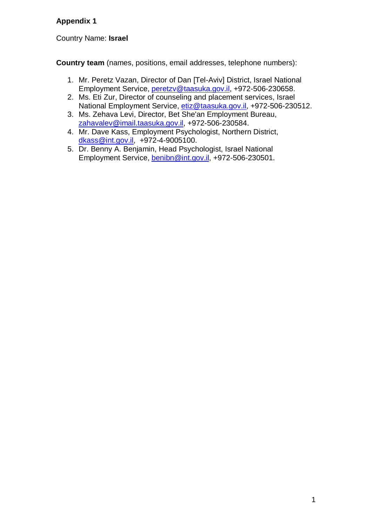# **Appendix 1**

Country Name: **Israel**

**Country team** (names, positions, email addresses, telephone numbers):

- 1. Mr. Peretz Vazan, Director of Dan [Tel-Aviv] District, Israel National Employment Service, [peretzv@taasuka.gov.il,](mailto:peretzv@taasuka.gov.il) +972-506-230658.
- 2. Ms. Eti Zur, Director of counseling and placement services, Israel National Employment Service, [etiz@taasuka.gov.il,](mailto:etiz@taasuka.gov.il) +972-506-230512.
- 3. Ms. Zehava Levi, Director, Bet She'an Employment Bureau, [zahavalev@imail.taasuka.gov.il,](mailto:zahavalev@imail.taasuka.gov.il) +972-506-230584.
- 4. Mr. Dave Kass, Employment Psychologist, Northern District, [dkass@int.gov.il,](mailto:dkass@int.gov.il) +972-4-9005100.
- 5. Dr. Benny A. Benjamin, Head Psychologist, Israel National Employment Service, [benibn@int.gov.il,](mailto:benibn@int.gov.il) +972-506-230501.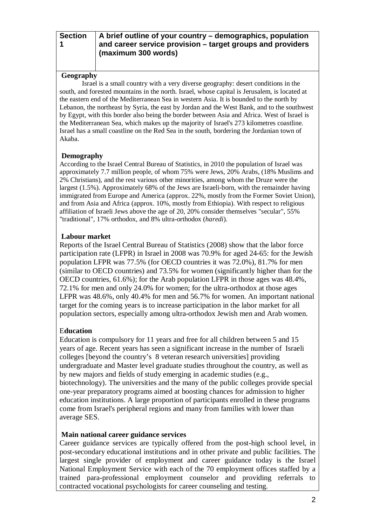**Section 1**

#### **A brief outline of your country – demographics, population and career service provision – target groups and providers (maximum 300 words)**

# **Geography**

Israel is a small country with a very diverse geography: [desert](http://en.wikipedia.org/wiki/Desert) conditions in the south, and forested mountains in the north. [Israel,](http://en.wikipedia.org/wiki/Israel) whose capital is Jerusalem, is located at the eastern end of the [Mediterranean Sea](http://en.wikipedia.org/wiki/Mediterranean_Sea) in western [Asia.](http://en.wikipedia.org/wiki/Asia) It is bounded to the north by [Lebanon,](http://en.wikipedia.org/wiki/Lebanon) the northeast by [Syria,](http://en.wikipedia.org/wiki/Syria) the east by [Jordan](http://en.wikipedia.org/wiki/Jordan) and the [West Bank,](http://en.wikipedia.org/wiki/West_Bank) and to the southwest by [Egypt,](http://en.wikipedia.org/wiki/Egypt) with this border also being the border between Asia and [Africa.](http://en.wikipedia.org/wiki/Africa) West of Israel is the [Mediterranean Sea,](http://en.wikipedia.org/wiki/Mediterranean_Sea) which makes up the majority of Israel's 273 kilometres coastline. Israel has a small coastline on the [Red Sea](http://en.wikipedia.org/wiki/Red_Sea) in the south, bordering the Jordanian town of Akaba.

## **Demography**

According to the Israel Central Bureau of Statistics, in 2010 the population of Israel was approximately 7.7 million people, of whom 75% were Jews, 20% Arabs, (18% Muslims and 2% Christians), and the rest various other minorities, among whom the Druze were the largest (1.5%). Approximately 68% of the Jews are Israeli-born, with the remainder having immigrated from Europe and America (approx. 22%, mostly from the Former Soviet Union), and from Asia and Africa (approx. 10%, mostly from Ethiopia). With respect to religious affiliation of Israeli Jews above the age of 20, 20% consider themselves "secular", 55% "traditional", 17% orthodox, and 8% ultra-orthodox (*haredi*).

# **Labour market**

Reports of the Israel Central Bureau of Statistics (2008) show that the labor force participation rate (LFPR) in Israel in 2008 was 70.9% for aged 24-65: for the Jewish population LFPR was 77.5% (for OECD countries it was 72.0%), 81.7% for men (similar to OECD countries) and 73.5% for women (significantly higher than for the OECD countries, 61.6%); for the Arab population LFPR in those ages was 48.4%, 72.1% for men and only 24.0% for women; for the ultra-orthodox at those ages LFPR was 48.6%, only 40.4% for men and 56.7% for women. An important national target for the coming years is to increase participation in the labor market for all population sectors, especially among ultra-orthodox Jewish men and Arab women.

# E**ducation**

Education is compulsory for 11 years and free for all children between 5 and 15 years of age. Recent years has seen a significant increase in the number of Israeli colleges [beyond the country's 8 veteran research universities] providing undergraduate and Master level graduate studies throughout the country, as well as by new majors and fields of study emerging in academic studies (e.g., biotechnology). The universities and the many of the public colleges provide special one-year preparatory programs aimed at boosting chances for admission to higher education institutions. A large proportion of participants enrolled in these programs come from Israel's peripheral regions and many from families with lower than average SES.

## **Main national career guidance services**

Career guidance services are typically offered from the post-high school level, in post-secondary educational institutions and in other private and public facilities. The largest single provider of employment and career guidance today is the Israel National Employment Service with each of the 70 employment offices staffed by a trained para-professional employment counselor and providing referrals to contracted vocational psychologists for career counseling and testing.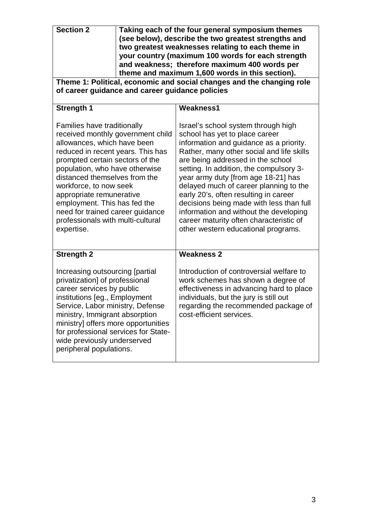| <b>Section 2</b>                                                                                                                                                                                                                                                                                                                                                                                                               | Taking each of the four general symposium themes<br>(see below), describe the two greatest strengths and<br>two greatest weaknesses relating to each theme in<br>your country (maximum 100 words for each strength<br>and weakness; therefore maximum 400 words per<br>theme and maximum 1,600 words in this section). |                                                                                                                                                                                                                                                                                                                                                                                                                                                                                                                                                 |  |  |
|--------------------------------------------------------------------------------------------------------------------------------------------------------------------------------------------------------------------------------------------------------------------------------------------------------------------------------------------------------------------------------------------------------------------------------|------------------------------------------------------------------------------------------------------------------------------------------------------------------------------------------------------------------------------------------------------------------------------------------------------------------------|-------------------------------------------------------------------------------------------------------------------------------------------------------------------------------------------------------------------------------------------------------------------------------------------------------------------------------------------------------------------------------------------------------------------------------------------------------------------------------------------------------------------------------------------------|--|--|
| Theme 1: Political, economic and social changes and the changing role<br>of career guidance and career guidance policies                                                                                                                                                                                                                                                                                                       |                                                                                                                                                                                                                                                                                                                        |                                                                                                                                                                                                                                                                                                                                                                                                                                                                                                                                                 |  |  |
| <b>Strength 1</b>                                                                                                                                                                                                                                                                                                                                                                                                              |                                                                                                                                                                                                                                                                                                                        | <b>Weakness1</b>                                                                                                                                                                                                                                                                                                                                                                                                                                                                                                                                |  |  |
| <b>Families have traditionally</b><br>received monthly government child<br>allowances, which have been<br>reduced in recent years. This has<br>prompted certain sectors of the<br>population, who have otherwise<br>distanced themselves from the<br>workforce, to now seek<br>appropriate remunerative<br>employment. This has fed the<br>need for trained career guidance<br>professionals with multi-cultural<br>expertise. |                                                                                                                                                                                                                                                                                                                        | Israel's school system through high<br>school has yet to place career<br>information and guidance as a priority.<br>Rather, many other social and life skills<br>are being addressed in the school<br>setting. In addition, the compulsory 3-<br>year army duty [from age 18-21] has<br>delayed much of career planning to the<br>early 20's, often resulting in career<br>decisions being made with less than full<br>information and without the developing<br>career maturity often characteristic of<br>other western educational programs. |  |  |
| <b>Strength 2</b>                                                                                                                                                                                                                                                                                                                                                                                                              |                                                                                                                                                                                                                                                                                                                        | <b>Weakness 2</b>                                                                                                                                                                                                                                                                                                                                                                                                                                                                                                                               |  |  |
| Increasing outsourcing [partial<br>privatization] of professional<br>career services by public<br>institutions [eg., Employment<br>Service, Labor ministry, Defense<br>ministry, Immigrant absorption<br>ministry] offers more opportunities<br>for professional services for State-<br>wide previously underserved<br>peripheral populations.                                                                                 |                                                                                                                                                                                                                                                                                                                        | Introduction of controversial welfare to<br>work schemes has shown a degree of<br>effectiveness in advancing hard to place<br>individuals, but the jury is still out<br>regarding the recommended package of<br>cost-efficient services.                                                                                                                                                                                                                                                                                                        |  |  |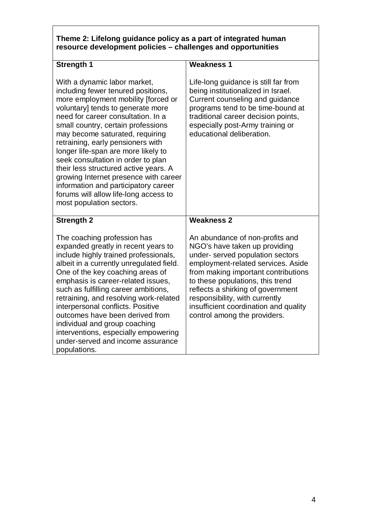# **Theme 2: Lifelong guidance policy as a part of integrated human resource development policies – challenges and opportunities**

| <b>Strength 1</b>                                                                                                                                                                                                                                                                                                                                                                                                                                                                                                                                                              | <b>Weakness 1</b>                                                                                                                                                                                                                                                                                                                                                     |  |  |  |
|--------------------------------------------------------------------------------------------------------------------------------------------------------------------------------------------------------------------------------------------------------------------------------------------------------------------------------------------------------------------------------------------------------------------------------------------------------------------------------------------------------------------------------------------------------------------------------|-----------------------------------------------------------------------------------------------------------------------------------------------------------------------------------------------------------------------------------------------------------------------------------------------------------------------------------------------------------------------|--|--|--|
| With a dynamic labor market,<br>including fewer tenured positions,<br>more employment mobility [forced or<br>voluntary] tends to generate more<br>need for career consultation. In a<br>small country, certain professions<br>may become saturated, requiring<br>retraining, early pensioners with<br>longer life-span are more likely to<br>seek consultation in order to plan<br>their less structured active years. A<br>growing Internet presence with career<br>information and participatory career<br>forums will allow life-long access to<br>most population sectors. | Life-long guidance is still far from<br>being institutionalized in Israel.<br>Current counseling and guidance<br>programs tend to be time-bound at<br>traditional career decision points,<br>especially post-Army training or<br>educational deliberation.                                                                                                            |  |  |  |
| <b>Strength 2</b>                                                                                                                                                                                                                                                                                                                                                                                                                                                                                                                                                              | <b>Weakness 2</b>                                                                                                                                                                                                                                                                                                                                                     |  |  |  |
| The coaching profession has<br>expanded greatly in recent years to<br>include highly trained professionals,<br>albeit in a currently unregulated field.<br>One of the key coaching areas of<br>emphasis is career-related issues,<br>such as fulfilling career ambitions,<br>retraining, and resolving work-related<br>interpersonal conflicts. Positive<br>outcomes have been derived from<br>individual and group coaching<br>interventions, especially empowering<br>under-served and income assurance<br>populations.                                                      | An abundance of non-profits and<br>NGO's have taken up providing<br>under- served population sectors<br>employment-related services. Aside<br>from making important contributions<br>to these populations, this trend<br>reflects a shirking of government<br>responsibility, with currently<br>insufficient coordination and quality<br>control among the providers. |  |  |  |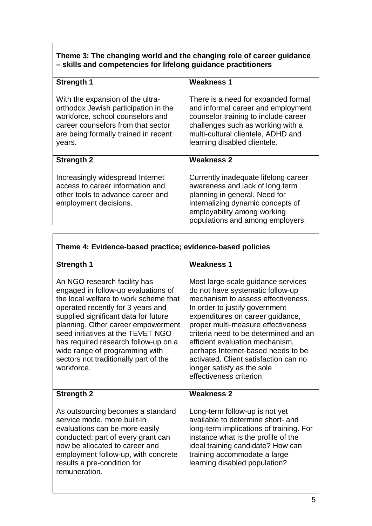# **Theme 3: The changing world and the changing role of career guidance – skills and competencies for lifelong guidance practitioners**

| <b>Strength 1</b>                                                                                                                                                                                    | <b>Weakness 1</b>                                                                                                                                                                                                            |  |  |  |
|------------------------------------------------------------------------------------------------------------------------------------------------------------------------------------------------------|------------------------------------------------------------------------------------------------------------------------------------------------------------------------------------------------------------------------------|--|--|--|
| With the expansion of the ultra-<br>orthodox Jewish participation in the<br>workforce, school counselors and<br>career counselors from that sector<br>are being formally trained in recent<br>years. | There is a need for expanded formal<br>and informal career and employment<br>counselor training to include career<br>challenges such as working with a<br>multi-cultural clientele, ADHD and<br>learning disabled clientele. |  |  |  |
| <b>Strength 2</b>                                                                                                                                                                                    | <b>Weakness 2</b>                                                                                                                                                                                                            |  |  |  |
| Increasingly widespread Internet<br>access to career information and<br>other tools to advance career and<br>employment decisions.                                                                   | Currently inadequate lifelong career<br>awareness and lack of long term<br>planning in general. Need for<br>internalizing dynamic concepts of<br>employability among working<br>populations and among employers.             |  |  |  |

Г

| Theme 4: Evidence-based practice; evidence-based policies                                                                                                                                                                                                                                                                                                                                             |                                                                                                                                                                                                                                                                                                                                                                                                                                               |  |  |  |
|-------------------------------------------------------------------------------------------------------------------------------------------------------------------------------------------------------------------------------------------------------------------------------------------------------------------------------------------------------------------------------------------------------|-----------------------------------------------------------------------------------------------------------------------------------------------------------------------------------------------------------------------------------------------------------------------------------------------------------------------------------------------------------------------------------------------------------------------------------------------|--|--|--|
| <b>Strength 1</b>                                                                                                                                                                                                                                                                                                                                                                                     | <b>Weakness 1</b>                                                                                                                                                                                                                                                                                                                                                                                                                             |  |  |  |
| An NGO research facility has<br>engaged in follow-up evaluations of<br>the local welfare to work scheme that<br>operated recently for 3 years and<br>supplied significant data for future<br>planning. Other career empowerment<br>seed initiatives at the TEVET NGO<br>has required research follow-up on a<br>wide range of programming with<br>sectors not traditionally part of the<br>workforce. | Most large-scale guidance services<br>do not have systematic follow-up<br>mechanism to assess effectiveness.<br>In order to justify government<br>expenditures on career guidance,<br>proper multi-measure effectiveness<br>criteria need to be determined and an<br>efficient evaluation mechanism,<br>perhaps Internet-based needs to be<br>activated. Client satisfaction can no<br>longer satisfy as the sole<br>effectiveness criterion. |  |  |  |
| <b>Strength 2</b>                                                                                                                                                                                                                                                                                                                                                                                     | <b>Weakness 2</b>                                                                                                                                                                                                                                                                                                                                                                                                                             |  |  |  |
| As outsourcing becomes a standard<br>service mode, more built-in<br>evaluations can be more easily<br>conducted: part of every grant can<br>now be allocated to career and<br>employment follow-up, with concrete<br>results a pre-condition for<br>remuneration.                                                                                                                                     | Long-term follow-up is not yet<br>available to determine short- and<br>long-term implications of training. For<br>instance what is the profile of the<br>ideal training candidate? How can<br>training accommodate a large<br>learning disabled population?                                                                                                                                                                                   |  |  |  |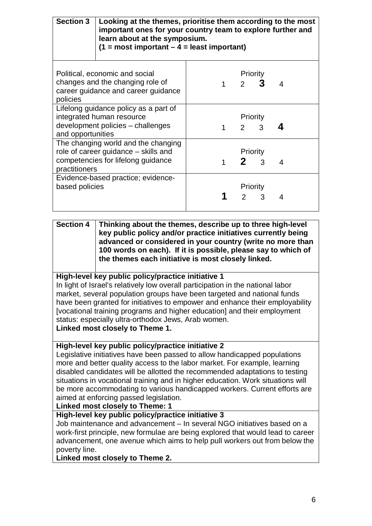| <b>Section 3</b>                                                                                                                   | Looking at the themes, prioritise them according to the most<br>important ones for your country team to explore further and<br>learn about at the symposium.<br>$(1 = most important - 4 = least important)$ |   |                |               |   |  |
|------------------------------------------------------------------------------------------------------------------------------------|--------------------------------------------------------------------------------------------------------------------------------------------------------------------------------------------------------------|---|----------------|---------------|---|--|
| Political, economic and social<br>changes and the changing role of<br>career guidance and career guidance<br>policies              |                                                                                                                                                                                                              | 1 | $\overline{2}$ | Priority      | 4 |  |
| Lifelong guidance policy as a part of<br>integrated human resource<br>development policies - challenges<br>and opportunities       |                                                                                                                                                                                                              |   | $\mathcal{P}$  | Priority<br>3 |   |  |
| The changing world and the changing<br>role of career guidance – skills and<br>competencies for lifelong guidance<br>practitioners |                                                                                                                                                                                                              |   | $2 \Box$       | Priority<br>3 | 4 |  |
| based policies                                                                                                                     | Evidence-based practice; evidence-                                                                                                                                                                           |   | $\mathcal{P}$  | Priority<br>3 | 4 |  |

**Section 4 Thinking about the themes, describe up to three high-level key public policy and/or practice initiatives currently being advanced or considered in your country (write no more than 100 words on each). If it is possible, please say to which of the themes each initiative is most closely linked.**

## **High-level key public policy/practice initiative 1**

In light of Israel's relatively low overall participation in the national labor market, several population groups have been targeted and national funds have been granted for initiatives to empower and enhance their employability [vocational training programs and higher education] and their employment status: especially ultra-orthodox Jews, Arab women.

**Linked most closely to Theme 1.**

## **High-level key public policy/practice initiative 2**

Legislative initiatives have been passed to allow handicapped populations more and better quality access to the labor market. For example, learning disabled candidates will be allotted the recommended adaptations to testing situations in vocational training and in higher education. Work situations will be more accommodating to various handicapped workers. Current efforts are aimed at enforcing passed legislation.

## **Linked most closely to Theme: 1**

#### **High-level key public policy/practice initiative 3**

Job maintenance and advancement – In several NGO initiatives based on a work-first principle, new formulae are being explored that would lead to career advancement, one avenue which aims to help pull workers out from below the poverty line.

**Linked most closely to Theme 2.**